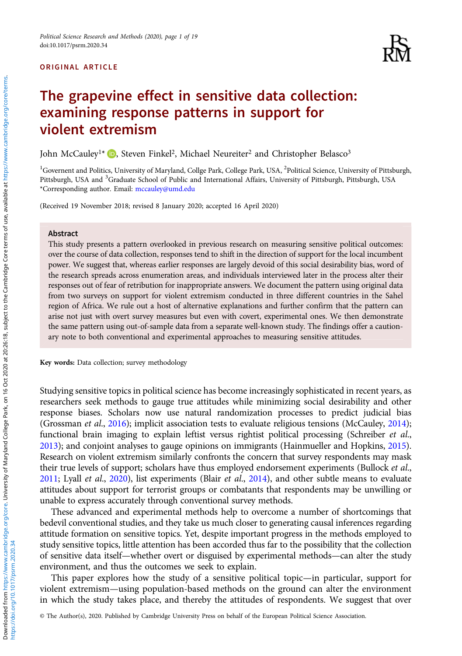#### ORIGINAL ARTICLE



# The grapevine effect in sensitive data collection: examining response patterns in support for violent extremism

John McCauley<sup>1\*</sup>  $\bullet$ [,](https://orcid.org/0000-0003-1349-1489) Steven Finkel<sup>2</sup>, Michael Neureiter<sup>2</sup> and Christopher Belasco<sup>3</sup>

<sup>1</sup>Governent and Politics, University of Maryland, Collge Park, College Park, USA, <sup>2</sup>Political Science, University of Pittsburgh, Pittsburgh, USA and <sup>3</sup>Graduate School of Public and International Affairs, University of Pittsburgh, Pittsburgh, USA \*Corresponding author. Email: [mccauley@umd.edu](mailto:mccauley@umd.edu)

(Received 19 November 2018; revised 8 January 2020; accepted 16 April 2020)

## Abstract

This study presents a pattern overlooked in previous research on measuring sensitive political outcomes: over the course of data collection, responses tend to shift in the direction of support for the local incumbent power. We suggest that, whereas earlier responses are largely devoid of this social desirability bias, word of the research spreads across enumeration areas, and individuals interviewed later in the process alter their responses out of fear of retribution for inappropriate answers. We document the pattern using original data from two surveys on support for violent extremism conducted in three different countries in the Sahel region of Africa. We rule out a host of alternative explanations and further confirm that the pattern can arise not just with overt survey measures but even with covert, experimental ones. We then demonstrate the same pattern using out-of-sample data from a separate well-known study. The findings offer a cautionary note to both conventional and experimental approaches to measuring sensitive attitudes.

Key words: Data collection; survey methodology

Studying sensitive topics in political science has become increasingly sophisticated in recent years, as researchers seek methods to gauge true attitudes while minimizing social desirability and other response biases. Scholars now use natural randomization processes to predict judicial bias (Grossman et al., [2016\)](#page-17-0); implicit association tests to evaluate religious tensions (McCauley, [2014\)](#page-18-0); functional brain imaging to explain leftist versus rightist political processing (Schreiber et al., [2013\)](#page-18-0); and conjoint analyses to gauge opinions on immigrants (Hainmueller and Hopkins, [2015\)](#page-17-0). Research on violent extremism similarly confronts the concern that survey respondents may mask their true levels of support; scholars have thus employed endorsement experiments (Bullock et al.,  $2011$ ; Lyall *et al.*,  $2020$ ), list experiments (Blair *et al.*,  $2014$ ), and other subtle means to evaluate attitudes about support for terrorist groups or combatants that respondents may be unwilling or unable to express accurately through conventional survey methods.

These advanced and experimental methods help to overcome a number of shortcomings that bedevil conventional studies, and they take us much closer to generating causal inferences regarding attitude formation on sensitive topics. Yet, despite important progress in the methods employed to study sensitive topics, little attention has been accorded thus far to the possibility that the collection of sensitive data itself—whether overt or disguised by experimental methods—can alter the study environment, and thus the outcomes we seek to explain.

This paper explores how the study of a sensitive political topic—in particular, support for violent extremism—using population-based methods on the ground can alter the environment in which the study takes place, and thereby the attitudes of respondents. We suggest that over

© The Author(s), 2020. Published by Cambridge University Press on behalf of the European Political Science Association.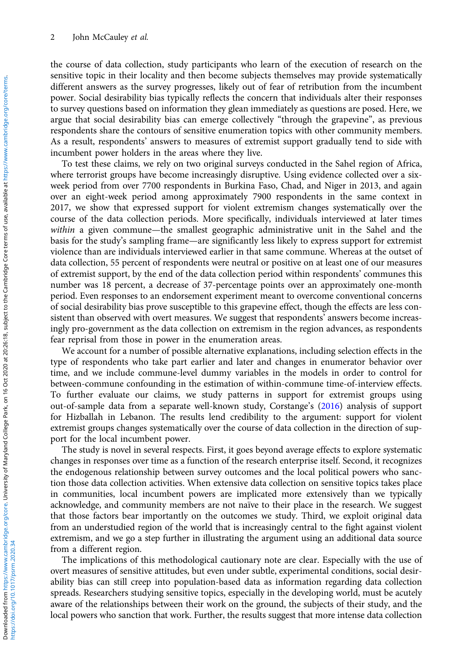the course of data collection, study participants who learn of the execution of research on the sensitive topic in their locality and then become subjects themselves may provide systematically different answers as the survey progresses, likely out of fear of retribution from the incumbent power. Social desirability bias typically reflects the concern that individuals alter their responses to survey questions based on information they glean immediately as questions are posed. Here, we argue that social desirability bias can emerge collectively "through the grapevine", as previous respondents share the contours of sensitive enumeration topics with other community members. As a result, respondents' answers to measures of extremist support gradually tend to side with incumbent power holders in the areas where they live.

To test these claims, we rely on two original surveys conducted in the Sahel region of Africa, where terrorist groups have become increasingly disruptive. Using evidence collected over a sixweek period from over 7700 respondents in Burkina Faso, Chad, and Niger in 2013, and again over an eight-week period among approximately 7900 respondents in the same context in 2017, we show that expressed support for violent extremism changes systematically over the course of the data collection periods. More specifically, individuals interviewed at later times within a given commune—the smallest geographic administrative unit in the Sahel and the basis for the study's sampling frame—are significantly less likely to express support for extremist violence than are individuals interviewed earlier in that same commune. Whereas at the outset of data collection, 55 percent of respondents were neutral or positive on at least one of our measures of extremist support, by the end of the data collection period within respondents' communes this number was 18 percent, a decrease of 37-percentage points over an approximately one-month period. Even responses to an endorsement experiment meant to overcome conventional concerns of social desirability bias prove susceptible to this grapevine effect, though the effects are less consistent than observed with overt measures. We suggest that respondents' answers become increasingly pro-government as the data collection on extremism in the region advances, as respondents fear reprisal from those in power in the enumeration areas.

We account for a number of possible alternative explanations, including selection effects in the type of respondents who take part earlier and later and changes in enumerator behavior over time, and we include commune-level dummy variables in the models in order to control for between-commune confounding in the estimation of within-commune time-of-interview effects. To further evaluate our claims, we study patterns in support for extremist groups using out-of-sample data from a separate well-known study, Corstange's ([2016\)](#page-17-0) analysis of support for Hizballah in Lebanon. The results lend credibility to the argument: support for violent extremist groups changes systematically over the course of data collection in the direction of support for the local incumbent power.

The study is novel in several respects. First, it goes beyond average effects to explore systematic changes in responses over time as a function of the research enterprise itself. Second, it recognizes the endogenous relationship between survey outcomes and the local political powers who sanction those data collection activities. When extensive data collection on sensitive topics takes place in communities, local incumbent powers are implicated more extensively than we typically acknowledge, and community members are not naïve to their place in the research. We suggest that those factors bear importantly on the outcomes we study. Third, we exploit original data from an understudied region of the world that is increasingly central to the fight against violent extremism, and we go a step further in illustrating the argument using an additional data source from a different region.

The implications of this methodological cautionary note are clear. Especially with the use of overt measures of sensitive attitudes, but even under subtle, experimental conditions, social desirability bias can still creep into population-based data as information regarding data collection spreads. Researchers studying sensitive topics, especially in the developing world, must be acutely aware of the relationships between their work on the ground, the subjects of their study, and the local powers who sanction that work. Further, the results suggest that more intense data collection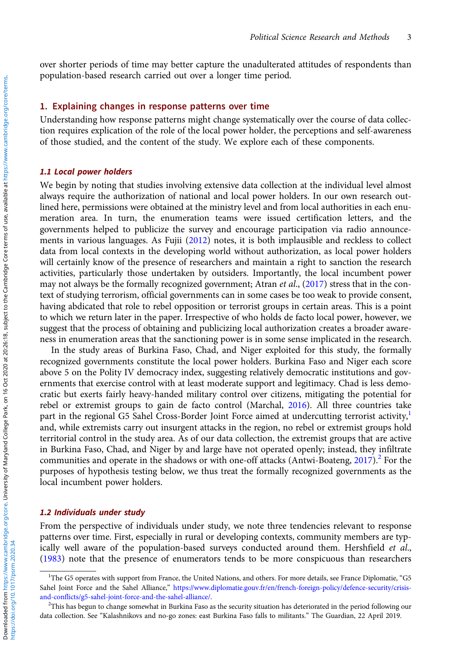over shorter periods of time may better capture the unadulterated attitudes of respondents than population-based research carried out over a longer time period.

#### 1. Explaining changes in response patterns over time

Understanding how response patterns might change systematically over the course of data collection requires explication of the role of the local power holder, the perceptions and self-awareness of those studied, and the content of the study. We explore each of these components.

## 1.1 Local power holders

We begin by noting that studies involving extensive data collection at the individual level almost always require the authorization of national and local power holders. In our own research outlined here, permissions were obtained at the ministry level and from local authorities in each enumeration area. In turn, the enumeration teams were issued certification letters, and the governments helped to publicize the survey and encourage participation via radio announcements in various languages. As Fujii ([2012](#page-17-0)) notes, it is both implausible and reckless to collect data from local contexts in the developing world without authorization, as local power holders will certainly know of the presence of researchers and maintain a right to sanction the research activities, particularly those undertaken by outsiders. Importantly, the local incumbent power may not always be the formally recognized government; Atran *et al.*, [\(2017\)](#page-17-0) stress that in the context of studying terrorism, official governments can in some cases be too weak to provide consent, having abdicated that role to rebel opposition or terrorist groups in certain areas. This is a point to which we return later in the paper. Irrespective of who holds de facto local power, however, we suggest that the process of obtaining and publicizing local authorization creates a broader awareness in enumeration areas that the sanctioning power is in some sense implicated in the research.

In the study areas of Burkina Faso, Chad, and Niger exploited for this study, the formally recognized governments constitute the local power holders. Burkina Faso and Niger each score above 5 on the Polity IV democracy index, suggesting relatively democratic institutions and governments that exercise control with at least moderate support and legitimacy. Chad is less democratic but exerts fairly heavy-handed military control over citizens, mitigating the potential for rebel or extremist groups to gain de facto control (Marchal, [2016](#page-18-0)). All three countries take part in the regional G5 Sahel Cross-Border Joint Force aimed at undercutting terrorist activity, $\frac{1}{1}$ and, while extremists carry out insurgent attacks in the region, no rebel or extremist groups hold territorial control in the study area. As of our data collection, the extremist groups that are active in Burkina Faso, Chad, and Niger by and large have not operated openly; instead, they infiltrate communities and operate in the shadows or with one-off attacks (Antwi-Boateng, [2017\)](#page-17-0). For the purposes of hypothesis testing below, we thus treat the formally recognized governments as the local incumbent power holders.

## 1.2 Individuals under study

From the perspective of individuals under study, we note three tendencies relevant to response patterns over time. First, especially in rural or developing contexts, community members are typically well aware of the population-based surveys conducted around them. Hershfield et al., [\(1983\)](#page-17-0) note that the presence of enumerators tends to be more conspicuous than researchers

<sup>&</sup>lt;sup>1</sup>The G5 operates with support from France, the United Nations, and others. For more details, see France Diplomatie, "G5 Sahel Joint Force and the Sahel Alliance," [https://www.diplomatie.gouv.fr/en/french-foreign-policy/defence-security/crisis](https://www.diplomatie.gouv.fr/en/french-foreign-policy/defence-security/crisis-and-conflicts/g5-sahel-joint-force-and-the-sahel-alliance/)[and-conflicts/g5-sahel-joint-force-and-the-sahel-alliance/.](https://www.diplomatie.gouv.fr/en/french-foreign-policy/defence-security/crisis-and-conflicts/g5-sahel-joint-force-and-the-sahel-alliance/) <sup>2</sup>

 $2$ This has begun to change somewhat in Burkina Faso as the security situation has deteriorated in the period following our data collection. See "Kalashnikovs and no-go zones: east Burkina Faso falls to militants." The Guardian, 22 April 2019.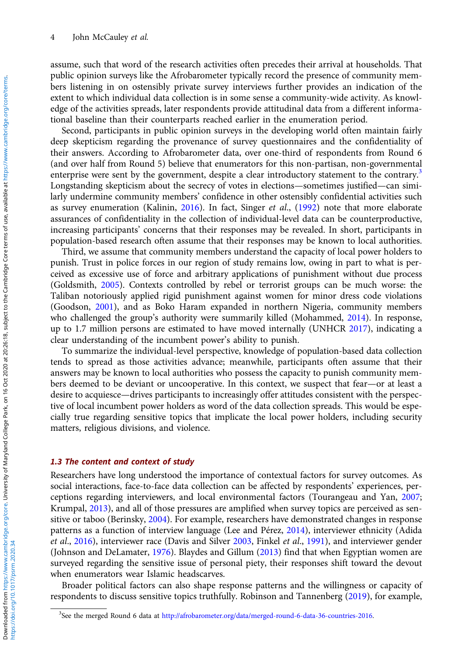assume, such that word of the research activities often precedes their arrival at households. That public opinion surveys like the Afrobarometer typically record the presence of community members listening in on ostensibly private survey interviews further provides an indication of the extent to which individual data collection is in some sense a community-wide activity. As knowledge of the activities spreads, later respondents provide attitudinal data from a different informational baseline than their counterparts reached earlier in the enumeration period.

Second, participants in public opinion surveys in the developing world often maintain fairly deep skepticism regarding the provenance of survey questionnaires and the confidentiality of their answers. According to Afrobarometer data, over one-third of respondents from Round 6 (and over half from Round 5) believe that enumerators for this non-partisan, non-governmental enterprise were sent by the government, despite a clear introductory statement to the contrary.<sup>3</sup> Longstanding skepticism about the secrecy of votes in elections—sometimes justified—can similarly undermine community members' confidence in other ostensibly confidential activities such as survey enumeration (Kalinin, [2016\)](#page-18-0). In fact, Singer et al.,  $(1992)$  $(1992)$  note that more elaborate assurances of confidentiality in the collection of individual-level data can be counterproductive, increasing participants' concerns that their responses may be revealed. In short, participants in population-based research often assume that their responses may be known to local authorities.

Third, we assume that community members understand the capacity of local power holders to punish. Trust in police forces in our region of study remains low, owing in part to what is perceived as excessive use of force and arbitrary applications of punishment without due process (Goldsmith, [2005](#page-17-0)). Contexts controlled by rebel or terrorist groups can be much worse: the Taliban notoriously applied rigid punishment against women for minor dress code violations (Goodson, [2001](#page-17-0)), and as Boko Haram expanded in northern Nigeria, community members who challenged the group's authority were summarily killed (Mohammed, [2014\)](#page-18-0). In response, up to 1.7 million persons are estimated to have moved internally (UNHCR [2017](#page-18-0)), indicating a clear understanding of the incumbent power's ability to punish.

To summarize the individual-level perspective, knowledge of population-based data collection tends to spread as those activities advance; meanwhile, participants often assume that their answers may be known to local authorities who possess the capacity to punish community members deemed to be deviant or uncooperative. In this context, we suspect that fear—or at least a desire to acquiesce—drives participants to increasingly offer attitudes consistent with the perspective of local incumbent power holders as word of the data collection spreads. This would be especially true regarding sensitive topics that implicate the local power holders, including security matters, religious divisions, and violence.

#### 1.3 The content and context of study

Researchers have long understood the importance of contextual factors for survey outcomes. As social interactions, face-to-face data collection can be affected by respondents' experiences, perceptions regarding interviewers, and local environmental factors (Tourangeau and Yan, [2007](#page-18-0); Krumpal, [2013](#page-18-0)), and all of those pressures are amplified when survey topics are perceived as sensitive or taboo (Berinsky, [2004](#page-17-0)). For example, researchers have demonstrated changes in response patterns as a function of interview language (Lee and Pérez, [2014\)](#page-18-0), interviewer ethnicity (Adida et al., [2016\)](#page-17-0), interviewer race (Davis and Silver [2003,](#page-17-0) Finkel et al., [1991](#page-18-0)), and interviewer gender (Johnson and DeLamater, [1976](#page-18-0)). Blaydes and Gillum ([2013](#page-17-0)) find that when Egyptian women are surveyed regarding the sensitive issue of personal piety, their responses shift toward the devout when enumerators wear Islamic headscarves.

Broader political factors can also shape response patterns and the willingness or capacity of respondents to discuss sensitive topics truthfully. Robinson and Tannenberg ([2019\)](#page-18-0), for example,

<sup>&</sup>lt;sup>3</sup>See the merged Round 6 data at [http://afrobarometer.org/data/merged-round-6-data-36-countries-2016.](http://afrobarometer.org/data/merged-round-6-data-36-countries-2016)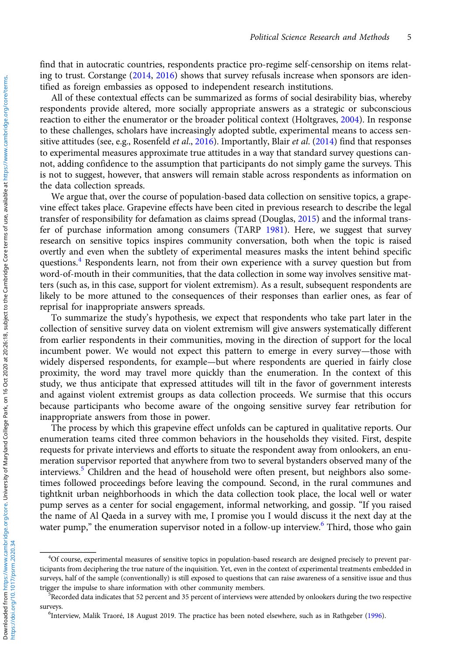find that in autocratic countries, respondents practice pro-regime self-censorship on items relating to trust. Corstange ([2014](#page-17-0), [2016](#page-17-0)) shows that survey refusals increase when sponsors are identified as foreign embassies as opposed to independent research institutions.

All of these contextual effects can be summarized as forms of social desirability bias, whereby respondents provide altered, more socially appropriate answers as a strategic or subconscious reaction to either the enumerator or the broader political context (Holtgraves, [2004](#page-17-0)). In response to these challenges, scholars have increasingly adopted subtle, experimental means to access sensitive attitudes (see, e.g., Rosenfeld *et al.*, [2016\)](#page-18-0). Importantly, Blair *et al.* [\(2014\)](#page-17-0) find that responses to experimental measures approximate true attitudes in a way that standard survey questions cannot, adding confidence to the assumption that participants do not simply game the surveys. This is not to suggest, however, that answers will remain stable across respondents as information on the data collection spreads.

We argue that, over the course of population-based data collection on sensitive topics, a grapevine effect takes place. Grapevine effects have been cited in previous research to describe the legal transfer of responsibility for defamation as claims spread (Douglas, [2015\)](#page-17-0) and the informal transfer of purchase information among consumers (TARP [1981](#page-18-0)). Here, we suggest that survey research on sensitive topics inspires community conversation, both when the topic is raised overtly and even when the subtlety of experimental measures masks the intent behind specific questions.<sup>4</sup> Respondents learn, not from their own experience with a survey question but from word-of-mouth in their communities, that the data collection in some way involves sensitive matters (such as, in this case, support for violent extremism). As a result, subsequent respondents are likely to be more attuned to the consequences of their responses than earlier ones, as fear of reprisal for inappropriate answers spreads.

To summarize the study's hypothesis, we expect that respondents who take part later in the collection of sensitive survey data on violent extremism will give answers systematically different from earlier respondents in their communities, moving in the direction of support for the local incumbent power. We would not expect this pattern to emerge in every survey—those with widely dispersed respondents, for example—but where respondents are queried in fairly close proximity, the word may travel more quickly than the enumeration. In the context of this study, we thus anticipate that expressed attitudes will tilt in the favor of government interests and against violent extremist groups as data collection proceeds. We surmise that this occurs because participants who become aware of the ongoing sensitive survey fear retribution for inappropriate answers from those in power.

The process by which this grapevine effect unfolds can be captured in qualitative reports. Our enumeration teams cited three common behaviors in the households they visited. First, despite requests for private interviews and efforts to situate the respondent away from onlookers, an enumeration supervisor reported that anywhere from two to several bystanders observed many of the interviews.<sup>5</sup> Children and the head of household were often present, but neighbors also sometimes followed proceedings before leaving the compound. Second, in the rural communes and tightknit urban neighborhoods in which the data collection took place, the local well or water pump serves as a center for social engagement, informal networking, and gossip. "If you raised the name of Al Qaeda in a survey with me, I promise you I would discuss it the next day at the water pump," the enumeration supervisor noted in a follow-up interview.<sup>6</sup> Third, those who gain

<sup>4</sup> Of course, experimental measures of sensitive topics in population-based research are designed precisely to prevent participants from deciphering the true nature of the inquisition. Yet, even in the context of experimental treatments embedded in surveys, half of the sample (conventionally) is still exposed to questions that can raise awareness of a sensitive issue and thus trigger the impulse to share information with other community members.

<sup>&</sup>lt;sup>5</sup> Recorded data indicates that 52 percent and 35 percent of interviews were attended by onlookers during the two respective surveys.

<sup>&</sup>lt;sup>6</sup>Interview, Malik Traoré, 18 August 2019. The practice has been noted elsewhere, such as in Rathgeber ([1996\)](#page-18-0).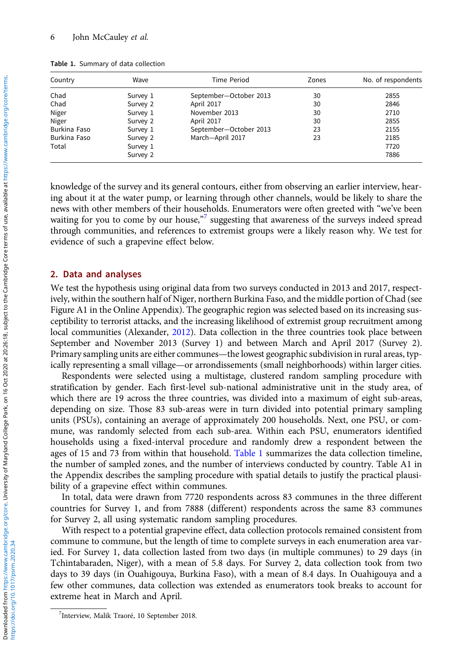| Country      | Wave     | Time Period            | Zones | No. of respondents |
|--------------|----------|------------------------|-------|--------------------|
| Chad         | Survey 1 | September-October 2013 | 30    | 2855               |
| Chad         | Survey 2 | April 2017             | 30    | 2846               |
| Niger        | Survey 1 | November 2013          | 30    | 2710               |
| Niger        | Survey 2 | April 2017             | 30    | 2855               |
| Burkina Faso | Survey 1 | September-October 2013 | 23    | 2155               |
| Burkina Faso | Survey 2 | March-April 2017       | 23    | 2185               |
| Total        | Survey 1 |                        |       | 7720               |
|              | Survey 2 |                        |       | 7886               |

Table 1. Summary of data collection

knowledge of the survey and its general contours, either from observing an earlier interview, hearing about it at the water pump, or learning through other channels, would be likely to share the news with other members of their households. Enumerators were often greeted with "we've been waiting for you to come by our house,"<sup>7</sup> suggesting that awareness of the surveys indeed spread through communities, and references to extremist groups were a likely reason why. We test for evidence of such a grapevine effect below.

## 2. Data and analyses

We test the hypothesis using original data from two surveys conducted in 2013 and 2017, respectively, within the southern half of Niger, northern Burkina Faso, and the middle portion of Chad (see Figure A1 in the Online Appendix). The geographic region was selected based on its increasing susceptibility to terrorist attacks, and the increasing likelihood of extremist group recruitment among local communities (Alexander, [2012](#page-17-0)). Data collection in the three countries took place between September and November 2013 (Survey 1) and between March and April 2017 (Survey 2). Primary sampling units are either communes—the lowest geographic subdivision in rural areas, typically representing a small village—or arrondissements (small neighborhoods) within larger cities.

Respondents were selected using a multistage, clustered random sampling procedure with stratification by gender. Each first-level sub-national administrative unit in the study area, of which there are 19 across the three countries, was divided into a maximum of eight sub-areas, depending on size. Those 83 sub-areas were in turn divided into potential primary sampling units (PSUs), containing an average of approximately 200 households. Next, one PSU, or commune, was randomly selected from each sub-area. Within each PSU, enumerators identified households using a fixed-interval procedure and randomly drew a respondent between the ages of 15 and 73 from within that household. Table 1 summarizes the data collection timeline, the number of sampled zones, and the number of interviews conducted by country. Table A1 in the Appendix describes the sampling procedure with spatial details to justify the practical plausibility of a grapevine effect within communes.

In total, data were drawn from 7720 respondents across 83 communes in the three different countries for Survey 1, and from 7888 (different) respondents across the same 83 communes for Survey 2, all using systematic random sampling procedures.

With respect to a potential grapevine effect, data collection protocols remained consistent from commune to commune, but the length of time to complete surveys in each enumeration area varied. For Survey 1, data collection lasted from two days (in multiple communes) to 29 days (in Tchintabaraden, Niger), with a mean of 5.8 days. For Survey 2, data collection took from two days to 39 days (in Ouahigouya, Burkina Faso), with a mean of 8.4 days. In Ouahigouya and a few other communes, data collection was extended as enumerators took breaks to account for extreme heat in March and April.

https://doi.org/10.1017/psrm.2020.34

<sup>7</sup> Interview, Malik Traoré, 10 September 2018.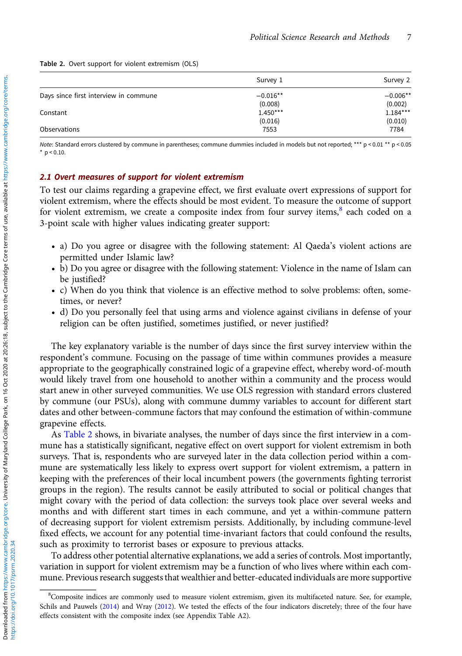|                                       | Survey 1   | Survey 2   |
|---------------------------------------|------------|------------|
| Days since first interview in commune | $-0.016**$ | $-0.006**$ |
|                                       | (0.008)    | (0.002)    |
| Constant                              | $1.450***$ | $1.184***$ |
|                                       | (0.016)    | (0.010)    |
| Observations                          | 7553       | 7784       |

Note: Standard errors clustered by commune in parentheses; commune dummies included in models but not reported; \*\*\* p < 0.01 \*\* p < 0.05  $*$  p < 0.10.

## 2.1 Overt measures of support for violent extremism

To test our claims regarding a grapevine effect, we first evaluate overt expressions of support for violent extremism, where the effects should be most evident. To measure the outcome of support for violent extremism, we create a composite index from four survey items, $\delta$  each coded on a 3-point scale with higher values indicating greater support:

- a) Do you agree or disagree with the following statement: Al Qaeda's violent actions are permitted under Islamic law?
- b) Do you agree or disagree with the following statement: Violence in the name of Islam can be justified?
- c) When do you think that violence is an effective method to solve problems: often, sometimes, or never?
- d) Do you personally feel that using arms and violence against civilians in defense of your religion can be often justified, sometimes justified, or never justified?

The key explanatory variable is the number of days since the first survey interview within the respondent's commune. Focusing on the passage of time within communes provides a measure appropriate to the geographically constrained logic of a grapevine effect, whereby word-of-mouth would likely travel from one household to another within a community and the process would start anew in other surveyed communities. We use OLS regression with standard errors clustered by commune (our PSUs), along with commune dummy variables to account for different start dates and other between-commune factors that may confound the estimation of within-commune grapevine effects.

As Table 2 shows, in bivariate analyses, the number of days since the first interview in a commune has a statistically significant, negative effect on overt support for violent extremism in both surveys. That is, respondents who are surveyed later in the data collection period within a commune are systematically less likely to express overt support for violent extremism, a pattern in keeping with the preferences of their local incumbent powers (the governments fighting terrorist groups in the region). The results cannot be easily attributed to social or political changes that might covary with the period of data collection: the surveys took place over several weeks and months and with different start times in each commune, and yet a within-commune pattern of decreasing support for violent extremism persists. Additionally, by including commune-level fixed effects, we account for any potential time-invariant factors that could confound the results, such as proximity to terrorist bases or exposure to previous attacks.

To address other potential alternative explanations, we add a series of controls. Most importantly, variation in support for violent extremism may be a function of who lives where within each commune. Previous research suggests that wealthier and better-educated individuals are more supportive

<sup>8</sup> Composite indices are commonly used to measure violent extremism, given its multifaceted nature. See, for example, Schils and Pauwels [\(2014\)](#page-18-0) and Wray ([2012](#page-18-0)). We tested the effects of the four indicators discretely; three of the four have effects consistent with the composite index (see Appendix Table A2).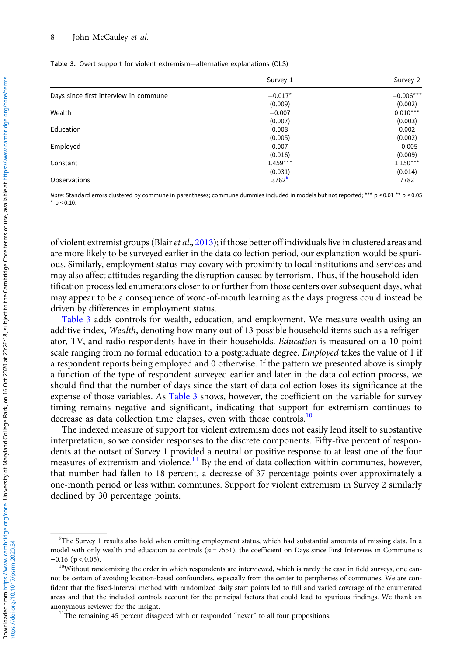#### 8 John McCauley et al.

|  | Table 3. Overt support for violent extremism-alternative explanations (OLS) |  |  |  |  |  |
|--|-----------------------------------------------------------------------------|--|--|--|--|--|
|--|-----------------------------------------------------------------------------|--|--|--|--|--|

|                                       | Survey 1          | Survey 2    |
|---------------------------------------|-------------------|-------------|
| Days since first interview in commune | $-0.017*$         | $-0.006***$ |
|                                       | (0.009)           | (0.002)     |
| Wealth                                | $-0.007$          | $0.010***$  |
|                                       | (0.007)           | (0.003)     |
| Education                             | 0.008             | 0.002       |
|                                       | (0.005)           | (0.002)     |
| Employed                              | 0.007             | $-0.005$    |
|                                       | (0.016)           | (0.009)     |
| Constant                              | $1.459***$        | $1.150***$  |
|                                       | (0.031)           | (0.014)     |
| Observations                          | 3762 <sup>9</sup> | 7782        |

Note: Standard errors clustered by commune in parentheses; commune dummies included in models but not reported; \*\*\* p < 0.01 \*\* p < 0.05  $*$  p < 0.10.

of violent extremist groups (Blair *et al.*, [2013\)](#page-17-0); if those better off individuals live in clustered areas and are more likely to be surveyed earlier in the data collection period, our explanation would be spurious. Similarly, employment status may covary with proximity to local institutions and services and may also affect attitudes regarding the disruption caused by terrorism. Thus, if the household identification process led enumerators closer to or further from those centers over subsequent days, what may appear to be a consequence of word-of-mouth learning as the days progress could instead be driven by differences in employment status.

Table 3 adds controls for wealth, education, and employment. We measure wealth using an additive index, Wealth, denoting how many out of 13 possible household items such as a refrigerator, TV, and radio respondents have in their households. Education is measured on a 10-point scale ranging from no formal education to a postgraduate degree. *Employed* takes the value of 1 if a respondent reports being employed and 0 otherwise. If the pattern we presented above is simply a function of the type of respondent surveyed earlier and later in the data collection process, we should find that the number of days since the start of data collection loses its significance at the expense of those variables. As Table 3 shows, however, the coefficient on the variable for survey timing remains negative and significant, indicating that support for extremism continues to decrease as data collection time elapses, even with those controls.<sup>10</sup>

The indexed measure of support for violent extremism does not easily lend itself to substantive interpretation, so we consider responses to the discrete components. Fifty-five percent of respondents at the outset of Survey 1 provided a neutral or positive response to at least one of the four measures of extremism and violence.<sup>11</sup> By the end of data collection within communes, however, that number had fallen to 18 percent, a decrease of 37 percentage points over approximately a one-month period or less within communes. Support for violent extremism in Survey 2 similarly declined by 30 percentage points.

<sup>9</sup> The Survey 1 results also hold when omitting employment status, which had substantial amounts of missing data. In a model with only wealth and education as controls  $(n = 7551)$ , the coefficient on Days since First Interview in Commune is  $-0.16$  (p < 0.05).

 $10$ Without randomizing the order in which respondents are interviewed, which is rarely the case in field surveys, one cannot be certain of avoiding location-based confounders, especially from the center to peripheries of communes. We are confident that the fixed-interval method with randomized daily start points led to full and varied coverage of the enumerated areas and that the included controls account for the principal factors that could lead to spurious findings. We thank an anonymous reviewer for the insight.  $11$ The remaining 45 percent disagreed with or responded "never" to all four propositions.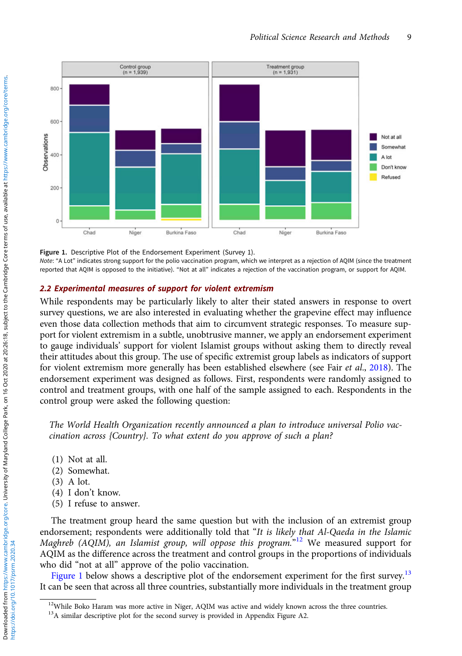

Figure 1. Descriptive Plot of the Endorsement Experiment (Survey 1). Note: "A Lot" indicates strong support for the polio vaccination program, which we interpret as a rejection of AQIM (since the treatment reported that AQIM is opposed to the initiative). "Not at all" indicates a rejection of the vaccination program, or support for AQIM.

# 2.2 Experimental measures of support for violent extremism

While respondents may be particularly likely to alter their stated answers in response to overt survey questions, we are also interested in evaluating whether the grapevine effect may influence even those data collection methods that aim to circumvent strategic responses. To measure support for violent extremism in a subtle, unobtrusive manner, we apply an endorsement experiment to gauge individuals' support for violent Islamist groups without asking them to directly reveal their attitudes about this group. The use of specific extremist group labels as indicators of support for violent extremism more generally has been established elsewhere (see Fair et al., [2018](#page-17-0)). The endorsement experiment was designed as follows. First, respondents were randomly assigned to control and treatment groups, with one half of the sample assigned to each. Respondents in the control group were asked the following question:

The World Health Organization recently announced a plan to introduce universal Polio vaccination across {Country}. To what extent do you approve of such a plan?

- (1) Not at all.
- (2) Somewhat.
- (3) A lot.
- (4) I don't know.
- (5) I refuse to answer.

The treatment group heard the same question but with the inclusion of an extremist group endorsement; respondents were additionally told that "It is likely that Al-Qaeda in the Islamic Maghreb (AQIM), an Islamist group, will oppose this program."<sup>12</sup> We measured support for AQIM as the difference across the treatment and control groups in the proportions of individuals who did "not at all" approve of the polio vaccination.

Figure 1 below shows a descriptive plot of the endorsement experiment for the first survey.<sup>13</sup> It can be seen that across all three countries, substantially more individuals in the treatment group

<sup>&</sup>lt;sup>12</sup>While Boko Haram was more active in Niger, AQIM was active and widely known across the three countries.

<sup>&</sup>lt;sup>13</sup>A similar descriptive plot for the second survey is provided in Appendix Figure A2.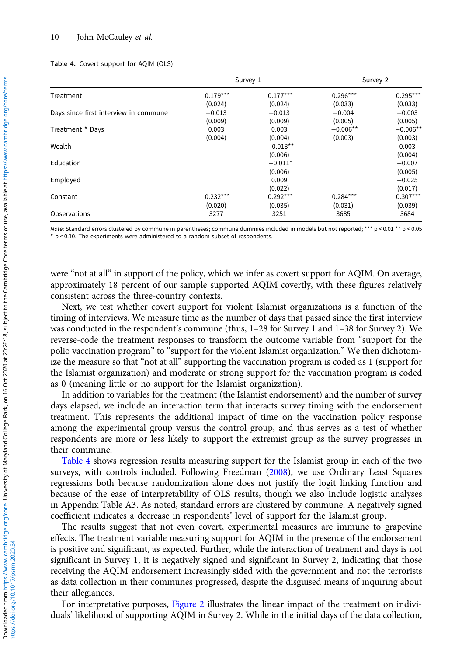#### 10 John McCauley et al.

| Table 4. Covert support for AQIM (OLS) |  |  |  |  |  |
|----------------------------------------|--|--|--|--|--|
|----------------------------------------|--|--|--|--|--|

|                                       |            | Survey 1   | Survey 2   |            |
|---------------------------------------|------------|------------|------------|------------|
| Treatment                             | $0.179***$ | $0.177***$ | $0.296***$ | $0.295***$ |
|                                       | (0.024)    | (0.024)    | (0.033)    | (0.033)    |
| Days since first interview in commune | $-0.013$   | $-0.013$   | $-0.004$   | $-0.003$   |
|                                       | (0.009)    | (0.009)    | (0.005)    | (0.005)    |
| Treatment * Days                      | 0.003      | 0.003      | $-0.006**$ | $-0.006**$ |
|                                       | (0.004)    | (0.004)    | (0.003)    | (0.003)    |
| Wealth                                |            | $-0.013**$ |            | 0.003      |
|                                       |            | (0.006)    |            | (0.004)    |
| Education                             |            | $-0.011*$  |            | $-0.007$   |
|                                       |            | (0.006)    |            | (0.005)    |
| Employed                              |            | 0.009      |            | $-0.025$   |
|                                       |            | (0.022)    |            | (0.017)    |
| Constant                              | $0.232***$ | $0.292***$ | $0.284***$ | $0.307***$ |
|                                       | (0.020)    | (0.035)    | (0.031)    | (0.039)    |
| Observations                          | 3277       | 3251       | 3685       | 3684       |

Note: Standard errors clustered by commune in parentheses; commune dummies included in models but not reported; \*\*\* p < 0.01 \*\* p < 0.05  $*$  p < 0.10. The experiments were administered to a random subset of respondents.

were "not at all" in support of the policy, which we infer as covert support for AQIM. On average, approximately 18 percent of our sample supported AQIM covertly, with these figures relatively consistent across the three-country contexts.

Next, we test whether covert support for violent Islamist organizations is a function of the timing of interviews. We measure time as the number of days that passed since the first interview was conducted in the respondent's commune (thus, 1–28 for Survey 1 and 1–38 for Survey 2). We reverse-code the treatment responses to transform the outcome variable from "support for the polio vaccination program" to "support for the violent Islamist organization." We then dichotomize the measure so that "not at all" supporting the vaccination program is coded as 1 (support for the Islamist organization) and moderate or strong support for the vaccination program is coded as 0 (meaning little or no support for the Islamist organization).

In addition to variables for the treatment (the Islamist endorsement) and the number of survey days elapsed, we include an interaction term that interacts survey timing with the endorsement treatment. This represents the additional impact of time on the vaccination policy response among the experimental group versus the control group, and thus serves as a test of whether respondents are more or less likely to support the extremist group as the survey progresses in their commune.

Table 4 shows regression results measuring support for the Islamist group in each of the two surveys, with controls included. Following Freedman [\(2008](#page-17-0)), we use Ordinary Least Squares regressions both because randomization alone does not justify the logit linking function and because of the ease of interpretability of OLS results, though we also include logistic analyses in Appendix Table A3. As noted, standard errors are clustered by commune. A negatively signed coefficient indicates a decrease in respondents' level of support for the Islamist group.

The results suggest that not even covert, experimental measures are immune to grapevine effects. The treatment variable measuring support for AQIM in the presence of the endorsement is positive and significant, as expected. Further, while the interaction of treatment and days is not significant in Survey 1, it is negatively signed and significant in Survey 2, indicating that those receiving the AQIM endorsement increasingly sided with the government and not the terrorists as data collection in their communes progressed, despite the disguised means of inquiring about their allegiances.

For interpretative purposes, [Figure 2](#page-10-0) illustrates the linear impact of the treatment on individuals' likelihood of supporting AQIM in Survey 2. While in the initial days of the data collection,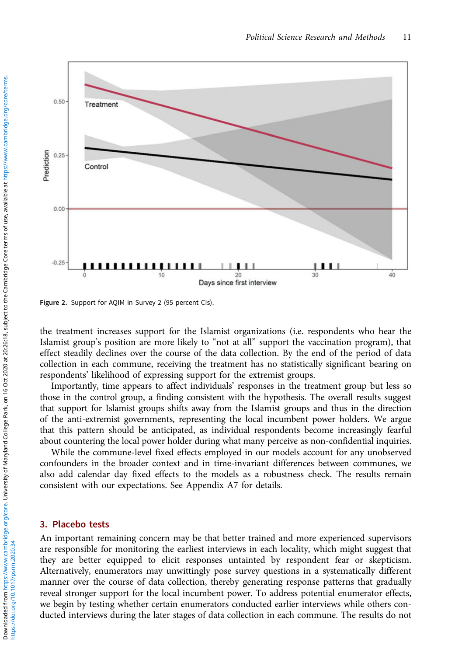<span id="page-10-0"></span>

Figure 2. Support for AQIM in Survey 2 (95 percent CIs).

the treatment increases support for the Islamist organizations (i.e. respondents who hear the Islamist group's position are more likely to "not at all" support the vaccination program), that effect steadily declines over the course of the data collection. By the end of the period of data collection in each commune, receiving the treatment has no statistically significant bearing on respondents' likelihood of expressing support for the extremist groups.

Importantly, time appears to affect individuals' responses in the treatment group but less so those in the control group, a finding consistent with the hypothesis. The overall results suggest that support for Islamist groups shifts away from the Islamist groups and thus in the direction of the anti-extremist governments, representing the local incumbent power holders. We argue that this pattern should be anticipated, as individual respondents become increasingly fearful about countering the local power holder during what many perceive as non-confidential inquiries.

While the commune-level fixed effects employed in our models account for any unobserved confounders in the broader context and in time-invariant differences between communes, we also add calendar day fixed effects to the models as a robustness check. The results remain consistent with our expectations. See Appendix A7 for details.

# 3. Placebo tests

An important remaining concern may be that better trained and more experienced supervisors are responsible for monitoring the earliest interviews in each locality, which might suggest that they are better equipped to elicit responses untainted by respondent fear or skepticism. Alternatively, enumerators may unwittingly pose survey questions in a systematically different manner over the course of data collection, thereby generating response patterns that gradually reveal stronger support for the local incumbent power. To address potential enumerator effects, we begin by testing whether certain enumerators conducted earlier interviews while others conducted interviews during the later stages of data collection in each commune. The results do not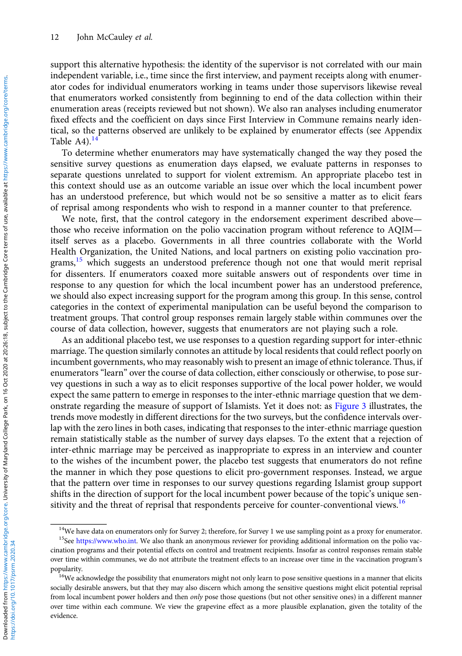support this alternative hypothesis: the identity of the supervisor is not correlated with our main independent variable, i.e., time since the first interview, and payment receipts along with enumerator codes for individual enumerators working in teams under those supervisors likewise reveal that enumerators worked consistently from beginning to end of the data collection within their enumeration areas (receipts reviewed but not shown). We also ran analyses including enumerator fixed effects and the coefficient on days since First Interview in Commune remains nearly identical, so the patterns observed are unlikely to be explained by enumerator effects (see Appendix Table  $A4$ ).<sup>14</sup>

To determine whether enumerators may have systematically changed the way they posed the sensitive survey questions as enumeration days elapsed, we evaluate patterns in responses to separate questions unrelated to support for violent extremism. An appropriate placebo test in this context should use as an outcome variable an issue over which the local incumbent power has an understood preference, but which would not be so sensitive a matter as to elicit fears of reprisal among respondents who wish to respond in a manner counter to that preference.

We note, first, that the control category in the endorsement experiment described above those who receive information on the polio vaccination program without reference to AQIM itself serves as a placebo. Governments in all three countries collaborate with the World Health Organization, the United Nations, and local partners on existing polio vaccination programs,<sup>15</sup> which suggests an understood preference though not one that would merit reprisal for dissenters. If enumerators coaxed more suitable answers out of respondents over time in response to any question for which the local incumbent power has an understood preference, we should also expect increasing support for the program among this group. In this sense, control categories in the context of experimental manipulation can be useful beyond the comparison to treatment groups. That control group responses remain largely stable within communes over the course of data collection, however, suggests that enumerators are not playing such a role.

As an additional placebo test, we use responses to a question regarding support for inter-ethnic marriage. The question similarly connotes an attitude by local residents that could reflect poorly on incumbent governments, who may reasonably wish to present an image of ethnic tolerance. Thus, if enumerators "learn" over the course of data collection, either consciously or otherwise, to pose survey questions in such a way as to elicit responses supportive of the local power holder, we would expect the same pattern to emerge in responses to the inter-ethnic marriage question that we demonstrate regarding the measure of support of Islamists. Yet it does not: as [Figure 3](#page-12-0) illustrates, the trends move modestly in different directions for the two surveys, but the confidence intervals overlap with the zero lines in both cases, indicating that responses to the inter-ethnic marriage question remain statistically stable as the number of survey days elapses. To the extent that a rejection of inter-ethnic marriage may be perceived as inappropriate to express in an interview and counter to the wishes of the incumbent power, the placebo test suggests that enumerators do not refine the manner in which they pose questions to elicit pro-government responses. Instead, we argue that the pattern over time in responses to our survey questions regarding Islamist group support shifts in the direction of support for the local incumbent power because of the topic's unique sensitivity and the threat of reprisal that respondents perceive for counter-conventional views.<sup>16</sup>

<sup>&</sup>lt;sup>14</sup>We have data on enumerators only for Survey 2; therefore, for Survey 1 we use sampling point as a proxy for enumerator.

<sup>&</sup>lt;sup>15</sup>See <https://www.who.int>. We also thank an anonymous reviewer for providing additional information on the polio vaccination programs and their potential effects on control and treatment recipients. Insofar as control responses remain stable over time within communes, we do not attribute the treatment effects to an increase over time in the vaccination program's popularity.  $16\,\rm{W}$  acknowledge the possibility that enumerators might not only learn to pose sensitive questions in a manner that elicits

socially desirable answers, but that they may also discern which among the sensitive questions might elicit potential reprisal from local incumbent power holders and then *only* pose those questions (but not other sensitive ones) in a different manner over time within each commune. We view the grapevine effect as a more plausible explanation, given the totality of the evidence.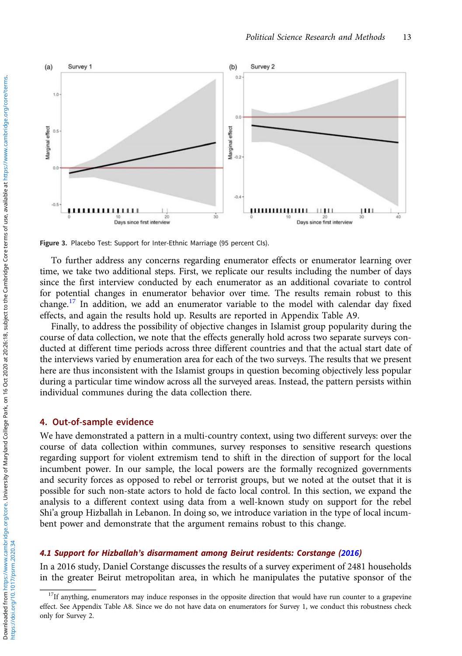<span id="page-12-0"></span>

Figure 3. Placebo Test: Support for Inter-Ethnic Marriage (95 percent CIs).

To further address any concerns regarding enumerator effects or enumerator learning over time, we take two additional steps. First, we replicate our results including the number of days since the first interview conducted by each enumerator as an additional covariate to control for potential changes in enumerator behavior over time. The results remain robust to this change.<sup>17</sup> In addition, we add an enumerator variable to the model with calendar day fixed effects, and again the results hold up. Results are reported in Appendix Table A9.

Finally, to address the possibility of objective changes in Islamist group popularity during the course of data collection, we note that the effects generally hold across two separate surveys conducted at different time periods across three different countries and that the actual start date of the interviews varied by enumeration area for each of the two surveys. The results that we present here are thus inconsistent with the Islamist groups in question becoming objectively less popular during a particular time window across all the surveyed areas. Instead, the pattern persists within individual communes during the data collection there.

## 4. Out-of-sample evidence

We have demonstrated a pattern in a multi-country context, using two different surveys: over the course of data collection within communes, survey responses to sensitive research questions regarding support for violent extremism tend to shift in the direction of support for the local incumbent power. In our sample, the local powers are the formally recognized governments and security forces as opposed to rebel or terrorist groups, but we noted at the outset that it is possible for such non-state actors to hold de facto local control. In this section, we expand the analysis to a different context using data from a well-known study on support for the rebel Shi'a group Hizballah in Lebanon. In doing so, we introduce variation in the type of local incumbent power and demonstrate that the argument remains robust to this change.

#### 4.1 Support for Hizballah's disarmament among Beirut residents: Corstange [\(2016](#page-17-0))

In a 2016 study, Daniel Corstange discusses the results of a survey experiment of 2481 households in the greater Beirut metropolitan area, in which he manipulates the putative sponsor of the

 $17$ If anything, enumerators may induce responses in the opposite direction that would have run counter to a grapevine effect. See Appendix Table A8. Since we do not have data on enumerators for Survey 1, we conduct this robustness check only for Survey 2.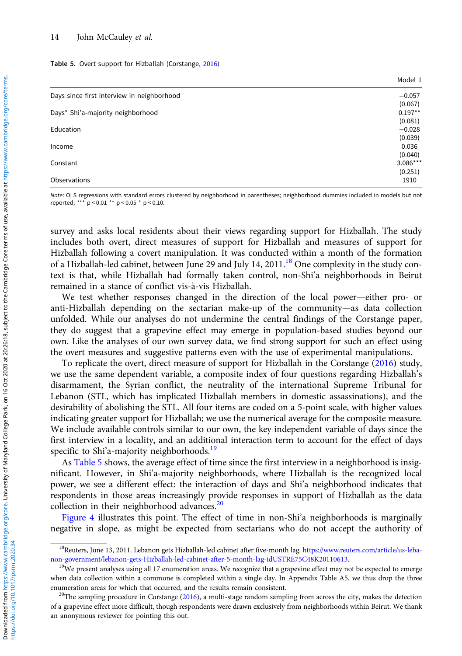|  | Table 5. Overt support for Hizballah (Corstange, 2016) |  |  |  |
|--|--------------------------------------------------------|--|--|--|
|--|--------------------------------------------------------|--|--|--|

|                                            | Model 1   |
|--------------------------------------------|-----------|
| Days since first interview in neighborhood | $-0.057$  |
|                                            | (0.067)   |
| Days* Shi'a-majority neighborhood          | $0.197**$ |
|                                            | (0.081)   |
| Education                                  | $-0.028$  |
|                                            | (0.039)   |
| Income                                     | 0.036     |
|                                            | (0.040)   |
| Constant                                   | 3.086***  |
|                                            | (0.251)   |
| Observations                               | 1910      |

Note: OLS regressions with standard errors clustered by neighborhood in parentheses; neighborhood dummies included in models but not reported; \*\*\* p < 0.01 \*\* p < 0.05 \* p < 0.10.

survey and asks local residents about their views regarding support for Hizballah. The study includes both overt, direct measures of support for Hizballah and measures of support for Hizballah following a covert manipulation. It was conducted within a month of the formation of a Hizballah-led cabinet, between June 29 and July 14, 2011.<sup>18</sup> One complexity in the study context is that, while Hizballah had formally taken control, non-Shi'a neighborhoods in Beirut remained in a stance of conflict vis-à-vis Hizballah.

We test whether responses changed in the direction of the local power—either pro- or anti-Hizballah depending on the sectarian make-up of the community—as data collection unfolded. While our analyses do not undermine the central findings of the Corstange paper, they do suggest that a grapevine effect may emerge in population-based studies beyond our own. Like the analyses of our own survey data, we find strong support for such an effect using the overt measures and suggestive patterns even with the use of experimental manipulations.

To replicate the overt, direct measure of support for Hizballah in the Corstange [\(2016](#page-17-0)) study, we use the same dependent variable, a composite index of four questions regarding Hizballah's disarmament, the Syrian conflict, the neutrality of the international Supreme Tribunal for Lebanon (STL, which has implicated Hizballah members in domestic assassinations), and the desirability of abolishing the STL. All four items are coded on a 5-point scale, with higher values indicating greater support for Hizballah; we use the numerical average for the composite measure. We include available controls similar to our own, the key independent variable of days since the first interview in a locality, and an additional interaction term to account for the effect of days specific to Shi'a-majority neighborhoods.<sup>19</sup>

As Table 5 shows, the average effect of time since the first interview in a neighborhood is insignificant. However, in Shi'a-majority neighborhoods, where Hizballah is the recognized local power, we see a different effect: the interaction of days and Shi'a neighborhood indicates that respondents in those areas increasingly provide responses in support of Hizballah as the data collection in their neighborhood advances.<sup>20</sup>

[Figure 4](#page-14-0) illustrates this point. The effect of time in non-Shi'a neighborhoods is marginally negative in slope, as might be expected from sectarians who do not accept the authority of

<sup>&</sup>lt;sup>18</sup>Reuters, June 13, 2011. Lebanon gets Hizballah-led cabinet after five-month lag. [https://www.reuters.com/article/us-leba](https://www.reuters.com/article/us-lebanon-government/lebanon-gets-Hizballah-led-cabinet-after-5-month-lag-idUSTRE75C48K20110613)[non-government/lebanon-gets-Hizballah-led-cabinet-after-5-month-lag-idUSTRE75C48K20110613](https://www.reuters.com/article/us-lebanon-government/lebanon-gets-Hizballah-led-cabinet-after-5-month-lag-idUSTRE75C48K20110613).<br><sup>19</sup>We present analyses using all 17 enumeration areas. We recognize that a grapevine effect may not be expected to emerge

when data collection within a commune is completed within a single day. In Appendix Table A5, we thus drop the three enumeration areas for which that occurred, and the results remain consistent.<br><sup>20</sup>The sampling procedure in Corstange ([2016](#page-17-0)), a multi-stage random sampling from across the city, makes the detection

of a grapevine effect more difficult, though respondents were drawn exclusively from neighborhoods within Beirut. We thank an anonymous reviewer for pointing this out.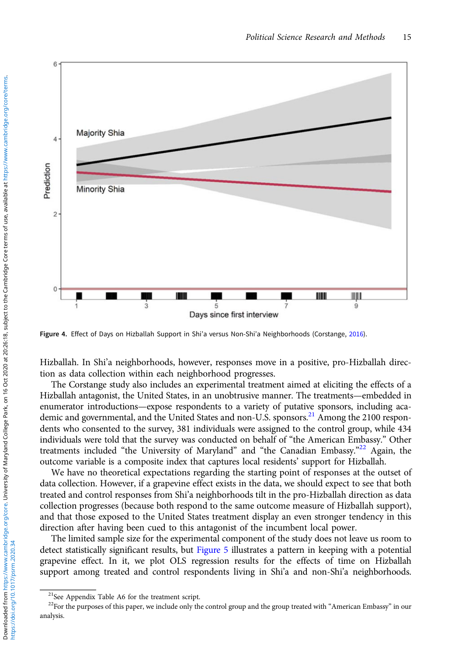<span id="page-14-0"></span>

Figure 4. Effect of Days on Hizballah Support in Shi'a versus Non-Shi'a Neighborhoods (Corstange, [2016\)](#page-17-0).

Hizballah. In Shi'a neighborhoods, however, responses move in a positive, pro-Hizballah direction as data collection within each neighborhood progresses.

The Corstange study also includes an experimental treatment aimed at eliciting the effects of a Hizballah antagonist, the United States, in an unobtrusive manner. The treatments—embedded in enumerator introductions—expose respondents to a variety of putative sponsors, including academic and governmental, and the United States and non-U.S. sponsors.<sup>21</sup> Among the 2100 respondents who consented to the survey, 381 individuals were assigned to the control group, while 434 individuals were told that the survey was conducted on behalf of "the American Embassy." Other treatments included "the University of Maryland" and "the Canadian Embassy."<sup>22</sup> Again, the outcome variable is a composite index that captures local residents' support for Hizballah.

We have no theoretical expectations regarding the starting point of responses at the outset of data collection. However, if a grapevine effect exists in the data, we should expect to see that both treated and control responses from Shi'a neighborhoods tilt in the pro-Hizballah direction as data collection progresses (because both respond to the same outcome measure of Hizballah support), and that those exposed to the United States treatment display an even stronger tendency in this direction after having been cued to this antagonist of the incumbent local power.

The limited sample size for the experimental component of the study does not leave us room to detect statistically significant results, but [Figure 5](#page-15-0) illustrates a pattern in keeping with a potential grapevine effect. In it, we plot OLS regression results for the effects of time on Hizballah support among treated and control respondents living in Shi'a and non-Shi'a neighborhoods.

<sup>21</sup>See Appendix Table A6 for the treatment script.

<sup>&</sup>lt;sup>22</sup>For the purposes of this paper, we include only the control group and the group treated with "American Embassy" in our analysis.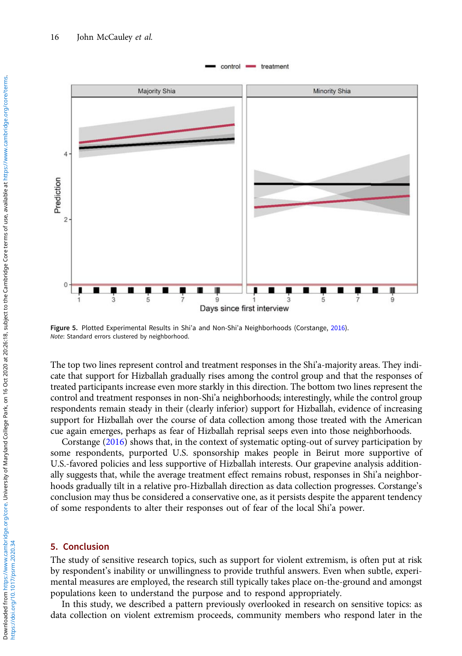<span id="page-15-0"></span>

Figure 5. Plotted Experimental Results in Shi'a and Non-Shi'a Neighborhoods (Corstange, [2016](#page-17-0)). Note: Standard errors clustered by neighborhood.

The top two lines represent control and treatment responses in the Shi'a-majority areas. They indicate that support for Hizballah gradually rises among the control group and that the responses of treated participants increase even more starkly in this direction. The bottom two lines represent the control and treatment responses in non-Shi'a neighborhoods; interestingly, while the control group respondents remain steady in their (clearly inferior) support for Hizballah, evidence of increasing support for Hizballah over the course of data collection among those treated with the American cue again emerges, perhaps as fear of Hizballah reprisal seeps even into those neighborhoods.

Corstange ([2016\)](#page-17-0) shows that, in the context of systematic opting-out of survey participation by some respondents, purported U.S. sponsorship makes people in Beirut more supportive of U.S.-favored policies and less supportive of Hizballah interests. Our grapevine analysis additionally suggests that, while the average treatment effect remains robust, responses in Shi'a neighborhoods gradually tilt in a relative pro-Hizballah direction as data collection progresses. Corstange's conclusion may thus be considered a conservative one, as it persists despite the apparent tendency of some respondents to alter their responses out of fear of the local Shi'a power.

# 5. Conclusion

The study of sensitive research topics, such as support for violent extremism, is often put at risk by respondent's inability or unwillingness to provide truthful answers. Even when subtle, experimental measures are employed, the research still typically takes place on-the-ground and amongst populations keen to understand the purpose and to respond appropriately.

In this study, we described a pattern previously overlooked in research on sensitive topics: as data collection on violent extremism proceeds, community members who respond later in the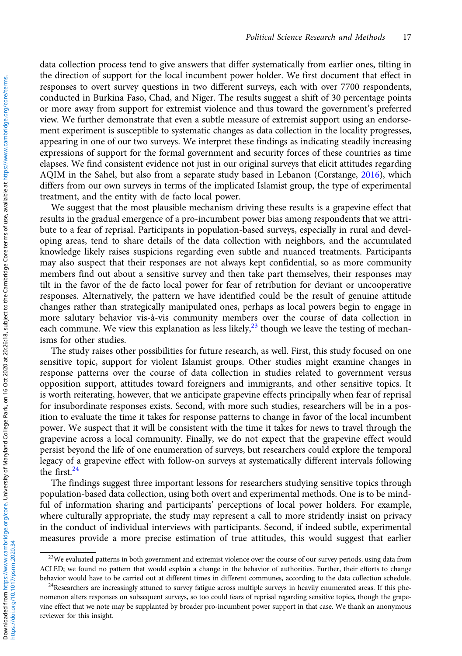data collection process tend to give answers that differ systematically from earlier ones, tilting in the direction of support for the local incumbent power holder. We first document that effect in responses to overt survey questions in two different surveys, each with over 7700 respondents, conducted in Burkina Faso, Chad, and Niger. The results suggest a shift of 30 percentage points or more away from support for extremist violence and thus toward the government's preferred view. We further demonstrate that even a subtle measure of extremist support using an endorsement experiment is susceptible to systematic changes as data collection in the locality progresses, appearing in one of our two surveys. We interpret these findings as indicating steadily increasing expressions of support for the formal government and security forces of these countries as time elapses. We find consistent evidence not just in our original surveys that elicit attitudes regarding AQIM in the Sahel, but also from a separate study based in Lebanon (Corstange, [2016](#page-17-0)), which differs from our own surveys in terms of the implicated Islamist group, the type of experimental treatment, and the entity with de facto local power.

We suggest that the most plausible mechanism driving these results is a grapevine effect that results in the gradual emergence of a pro-incumbent power bias among respondents that we attribute to a fear of reprisal. Participants in population-based surveys, especially in rural and developing areas, tend to share details of the data collection with neighbors, and the accumulated knowledge likely raises suspicions regarding even subtle and nuanced treatments. Participants may also suspect that their responses are not always kept confidential, so as more community members find out about a sensitive survey and then take part themselves, their responses may tilt in the favor of the de facto local power for fear of retribution for deviant or uncooperative responses. Alternatively, the pattern we have identified could be the result of genuine attitude changes rather than strategically manipulated ones, perhaps as local powers begin to engage in more salutary behavior vis-à-vis community members over the course of data collection in each commune. We view this explanation as less likely,  $^{23}$  though we leave the testing of mechanisms for other studies.

The study raises other possibilities for future research, as well. First, this study focused on one sensitive topic, support for violent Islamist groups. Other studies might examine changes in response patterns over the course of data collection in studies related to government versus opposition support, attitudes toward foreigners and immigrants, and other sensitive topics. It is worth reiterating, however, that we anticipate grapevine effects principally when fear of reprisal for insubordinate responses exists. Second, with more such studies, researchers will be in a position to evaluate the time it takes for response patterns to change in favor of the local incumbent power. We suspect that it will be consistent with the time it takes for news to travel through the grapevine across a local community. Finally, we do not expect that the grapevine effect would persist beyond the life of one enumeration of surveys, but researchers could explore the temporal legacy of a grapevine effect with follow-on surveys at systematically different intervals following the first. $^{24}$ 

The findings suggest three important lessons for researchers studying sensitive topics through population-based data collection, using both overt and experimental methods. One is to be mindful of information sharing and participants' perceptions of local power holders. For example, where culturally appropriate, the study may represent a call to more stridently insist on privacy in the conduct of individual interviews with participants. Second, if indeed subtle, experimental measures provide a more precise estimation of true attitudes, this would suggest that earlier

<sup>&</sup>lt;sup>23</sup>We evaluated patterns in both government and extremist violence over the course of our survey periods, using data from ACLED; we found no pattern that would explain a change in the behavior of authorities. Further, their efforts to change behavior would have to be carried out at different times in different communes, according to the data collection schedule.<br><sup>24</sup>Researchers are increasingly attuned to survey fatigue across multiple surveys in heavily enume

nomenon alters responses on subsequent surveys, so too could fears of reprisal regarding sensitive topics, though the grapevine effect that we note may be supplanted by broader pro-incumbent power support in that case. We thank an anonymous reviewer for this insight.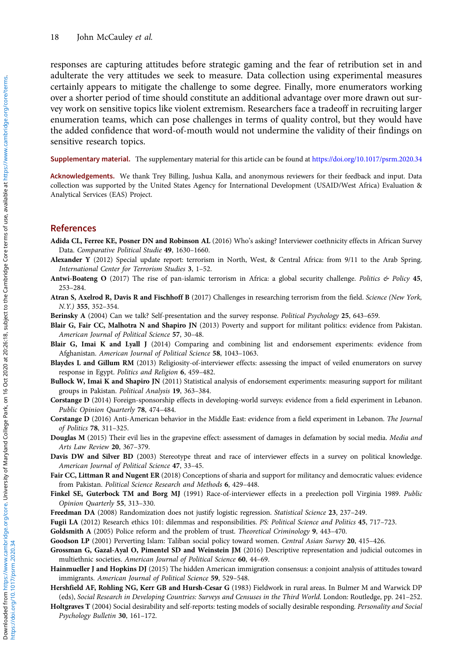<span id="page-17-0"></span>responses are capturing attitudes before strategic gaming and the fear of retribution set in and adulterate the very attitudes we seek to measure. Data collection using experimental measures certainly appears to mitigate the challenge to some degree. Finally, more enumerators working over a shorter period of time should constitute an additional advantage over more drawn out survey work on sensitive topics like violent extremism. Researchers face a tradeoff in recruiting larger enumeration teams, which can pose challenges in terms of quality control, but they would have the added confidence that word-of-mouth would not undermine the validity of their findings on sensitive research topics.

Supplementary material. The supplementary material for this article can be found at <https://doi.org/10.1017/psrm.2020.34>

Acknowledgements. We thank Trey Billing, Jushua Kalla, and anonymous reviewers for their feedback and input. Data collection was supported by the United States Agency for International Development (USAID/West Africa) Evaluation & Analytical Services (EAS) Project.

# References

- Adida CL, Ferree KE, Posner DN and Robinson AL (2016) Who's asking? Interviewer coethnicity effects in African Survey Data. Comparative Political Studie 49, 1630–1660.
- Alexander Y (2012) Special update report: terrorism in North, West, & Central Africa: from 9/11 to the Arab Spring. International Center for Terrorism Studies 3, 1–52.
- Antwi-Boateng O (2017) The rise of pan-islamic terrorism in Africa: a global security challenge. Politics & Policy 45, 253–284.
- Atran S, Axelrod R, Davis R and Fischhoff B (2017) Challenges in researching terrorism from the field. Science (New York, N.Y.) 355, 352–354.
- Berinsky A (2004) Can we talk? Self-presentation and the survey response. Political Psychology 25, 643–659.
- Blair G, Fair CC, Malhotra N and Shapiro JN (2013) Poverty and support for militant politics: evidence from Pakistan. American Journal of Political Science 57, 30–48.
- Blair G, Imai K and Lyall J (2014) Comparing and combining list and endorsement experiments: evidence from Afghanistan. American Journal of Political Science 58, 1043–1063.
- Blaydes L and Gillum RM (2013) Religiosity-of-interviewer effects: assessing the impact of veiled enumerators on survey response in Egypt. Politics and Religion 6, 459–482.
- Bullock W, Imai K and Shapiro JN (2011) Statistical analysis of endorsement experiments: measuring support for militant groups in Pakistan. Political Analysis 19, 363–384.
- Corstange D (2014) Foreign-sponsorship effects in developing-world surveys: evidence from a field experiment in Lebanon. Public Opinion Quarterly 78, 474–484.
- Corstange D (2016) Anti-American behavior in the Middle East: evidence from a field experiment in Lebanon. The Journal of Politics 78, 311–325.
- Douglas M (2015) Their evil lies in the grapevine effect: assessment of damages in defamation by social media. Media and Arts Law Review 20, 367–379.
- Davis DW and Silver BD (2003) Stereotype threat and race of interviewer effects in a survey on political knowledge. American Journal of Political Science 47, 33–45.
- Fair CC, Littman R and Nugent ER (2018) Conceptions of sharia and support for militancy and democratic values: evidence from Pakistan. Political Science Research and Methods 6, 429–448.
- Finkel SE, Guterbock TM and Borg MJ (1991) Race-of-interviewer effects in a preelection poll Virginia 1989. Public Opinion Quarterly 55, 313–330.
- Freedman DA (2008) Randomization does not justify logistic regression. Statistical Science 23, 237–249.
- Fugii LA (2012) Research ethics 101: dilemmas and responsibilities. PS: Political Science and Politics 45, 717–723.
- Goldsmith A (2005) Police reform and the problem of trust. Theoretical Criminology 9, 443-470.
- Goodson LP (2001) Perverting Islam: Taliban social policy toward women. Central Asian Survey 20, 415-426.
- Grossman G, Gazal-Ayal O, Pimentel SD and Weinstein JM (2016) Descriptive representation and judicial outcomes in multiethnic societies. American Journal of Political Science 60, 44–69.
- Hainmueller J and Hopkins DJ (2015) The hidden American immigration consensus: a conjoint analysis of attitudes toward immigrants. American Journal of Political Science 59, 529–548.
- Hershfield AF, Rohling NG, Kerr GB and Hursh-Cesar G (1983) Fieldwork in rural areas. In Bulmer M and Warwick DP (eds), Social Research in Developing Countries: Surveys and Censuses in the Third World. London: Routledge, pp. 241–252.
- Holtgraves T (2004) Social desirability and self-reports: testing models of socially desirable responding. Personality and Social Psychology Bulletin 30, 161–172.